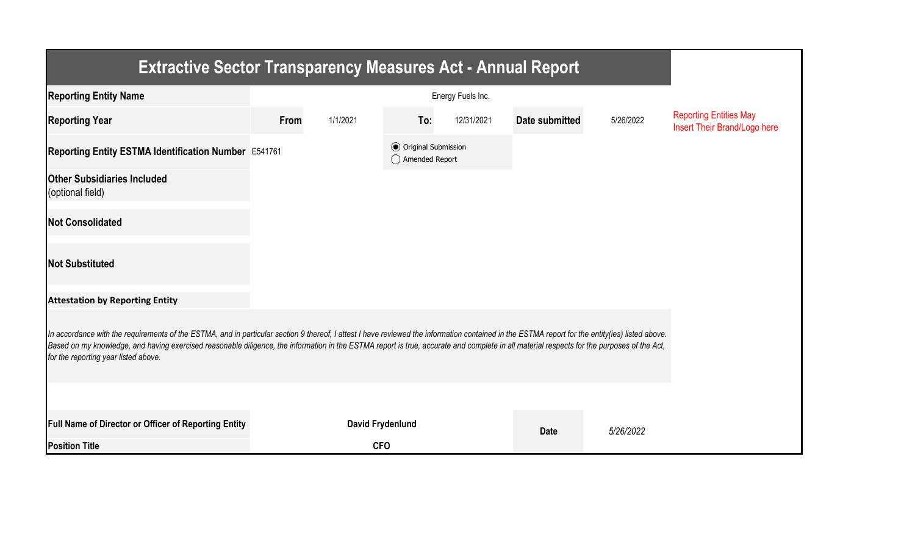| <b>Extractive Sector Transparency Measures Act - Annual Report</b>                                                                                                                                                                                                                                                                                                                                                                    |      |                         |                                                  |            |                |           |                                                               |  |  |  |
|---------------------------------------------------------------------------------------------------------------------------------------------------------------------------------------------------------------------------------------------------------------------------------------------------------------------------------------------------------------------------------------------------------------------------------------|------|-------------------------|--------------------------------------------------|------------|----------------|-----------|---------------------------------------------------------------|--|--|--|
| <b>Reporting Entity Name</b>                                                                                                                                                                                                                                                                                                                                                                                                          |      |                         |                                                  |            |                |           |                                                               |  |  |  |
| <b>Reporting Year</b>                                                                                                                                                                                                                                                                                                                                                                                                                 | From | 1/1/2021                | To:                                              | 12/31/2021 | Date submitted | 5/26/2022 | <b>Reporting Entities May</b><br>Insert Their Brand/Logo here |  |  |  |
| Reporting Entity ESTMA Identification Number E541761                                                                                                                                                                                                                                                                                                                                                                                  |      |                         | <b>⊙</b> Original Submission<br>◯ Amended Report |            |                |           |                                                               |  |  |  |
| <b>Other Subsidiaries Included</b><br>(optional field)                                                                                                                                                                                                                                                                                                                                                                                |      |                         |                                                  |            |                |           |                                                               |  |  |  |
| <b>Not Consolidated</b>                                                                                                                                                                                                                                                                                                                                                                                                               |      |                         |                                                  |            |                |           |                                                               |  |  |  |
| <b>Not Substituted</b>                                                                                                                                                                                                                                                                                                                                                                                                                |      |                         |                                                  |            |                |           |                                                               |  |  |  |
| <b>Attestation by Reporting Entity</b>                                                                                                                                                                                                                                                                                                                                                                                                |      |                         |                                                  |            |                |           |                                                               |  |  |  |
| In accordance with the requirements of the ESTMA, and in particular section 9 thereof, I attest I have reviewed the information contained in the ESTMA report for the entity(ies) listed above.<br>Based on my knowledge, and having exercised reasonable diligence, the information in the ESTMA report is true, accurate and complete in all material respects for the purposes of the Act,<br>for the reporting year listed above. |      |                         |                                                  |            |                |           |                                                               |  |  |  |
|                                                                                                                                                                                                                                                                                                                                                                                                                                       |      |                         |                                                  |            |                |           |                                                               |  |  |  |
| Full Name of Director or Officer of Reporting Entity                                                                                                                                                                                                                                                                                                                                                                                  |      | <b>David Frydenlund</b> |                                                  |            | <b>Date</b>    | 5/26/2022 |                                                               |  |  |  |
| <b>Position Title</b>                                                                                                                                                                                                                                                                                                                                                                                                                 |      | <b>CFO</b>              |                                                  |            |                |           |                                                               |  |  |  |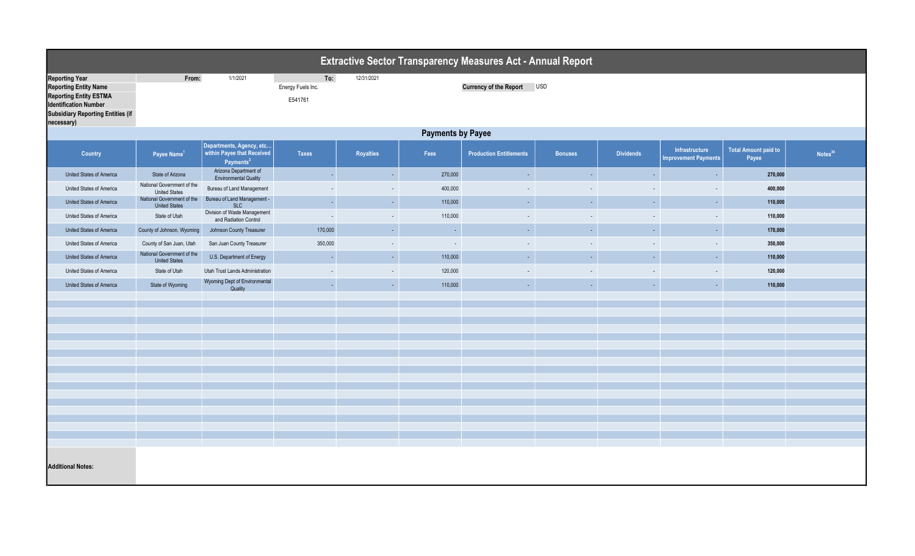| <b>Extractive Sector Transparency Measures Act - Annual Report</b>                                                                                                 |                                                          |                                                                                 |              |            |                            |                                |                          |                  |                                               |                                      |                     |  |  |
|--------------------------------------------------------------------------------------------------------------------------------------------------------------------|----------------------------------------------------------|---------------------------------------------------------------------------------|--------------|------------|----------------------------|--------------------------------|--------------------------|------------------|-----------------------------------------------|--------------------------------------|---------------------|--|--|
| <b>Reporting Year</b><br><b>Reporting Entity Name</b><br><b>Reporting Entity ESTMA</b><br><b>Identification Number</b><br><b>Subsidiary Reporting Entities (if</b> | From:<br>1/1/2021<br>To:<br>Energy Fuels Inc.<br>E541761 |                                                                                 |              | 12/31/2021 | Currency of the Report USD |                                |                          |                  |                                               |                                      |                     |  |  |
| necessary)                                                                                                                                                         | <b>Payments by Payee</b>                                 |                                                                                 |              |            |                            |                                |                          |                  |                                               |                                      |                     |  |  |
| <b>Country</b>                                                                                                                                                     | Payee Name <sup>1</sup>                                  | Departments, Agency, etc<br>within Payee that Received<br>Payments <sup>2</sup> | <b>Taxes</b> | Royalties  | Fees                       | <b>Production Entitlements</b> | <b>Bonuses</b>           | <b>Dividends</b> | Infrastructure<br><b>Improvement Payments</b> | <b>Total Amount paid to</b><br>Payee | Notes <sup>34</sup> |  |  |
| United States of America                                                                                                                                           | State of Arizona                                         | Arizona Department of<br><b>Environmental Quality</b>                           | $\omega$     | $\sim$     | 270,000                    | $\sim$                         | $\blacksquare$           | $\sim$           | $\sim$                                        | 270,000                              |                     |  |  |
| United States of America                                                                                                                                           | National Government of the<br><b>United States</b>       | Bureau of Land Management                                                       | $\sim$       | $\sim$     | 400,000                    | $\sim$                         | $\overline{\phantom{a}}$ | $\sim$           | $\sim$                                        | 400,000                              |                     |  |  |
| United States of America                                                                                                                                           | National Government of the<br><b>United States</b>       | Bureau of Land Management -<br>SLC                                              | $\sim$       | $\sim$     | 110,000                    | $\sim$                         | $\blacksquare$           | $\sim$           | $\sim$                                        | 110,000                              |                     |  |  |
| United States of America                                                                                                                                           | State of Utah                                            | Division of Waste Management<br>and Radiation Control                           | $\sim$       | $\sim$     | 110,000                    | $\sim$                         | $\overline{\phantom{a}}$ | $\sim$           | $\sim$                                        | 110,000                              |                     |  |  |
| United States of America                                                                                                                                           | County of Johnson, Wyoming                               | Johnson County Treasurer                                                        | 170,000      | $\sim$     | $\sim$                     | $\sim$                         | $\sim$                   | $\sim$           | $\sim$                                        | 170,000                              |                     |  |  |
| United States of America                                                                                                                                           | County of San Juan, Utah                                 | San Juan County Treasurer                                                       | 350,000      | $\sim$     | $\sim$                     | $\sim$                         | $\sim$                   | $\sim$           | $\sim$                                        | 350,000                              |                     |  |  |
| United States of America                                                                                                                                           | National Government of the<br><b>United States</b>       | U.S. Department of Energy                                                       | $\sim$       | $\sim$     | 110,000                    | $\sim$                         | $\omega$                 | $\sim$           | $\sim$                                        | 110,000                              |                     |  |  |
| United States of America                                                                                                                                           | State of Utah                                            | Utah Trust Lands Administration                                                 | $\sim$       | $\sim$     | 120,000                    | $\sim$                         |                          |                  | $\sim$                                        | 120,000                              |                     |  |  |
| United States of America                                                                                                                                           | State of Wyoming                                         | Wyoming Dept of Environmental<br>Quality                                        | $\sim$       | $\sim$     | 110,000                    | $\omega_{\rm{eff}}$            | $\omega$                 | $\sim$           | $\sim$                                        | 110,000                              |                     |  |  |
|                                                                                                                                                                    |                                                          |                                                                                 |              |            |                            |                                |                          |                  |                                               |                                      |                     |  |  |
|                                                                                                                                                                    |                                                          |                                                                                 |              |            |                            |                                |                          |                  |                                               |                                      |                     |  |  |
|                                                                                                                                                                    |                                                          |                                                                                 |              |            |                            |                                |                          |                  |                                               |                                      |                     |  |  |
|                                                                                                                                                                    |                                                          |                                                                                 |              |            |                            |                                |                          |                  |                                               |                                      |                     |  |  |
|                                                                                                                                                                    |                                                          |                                                                                 |              |            |                            |                                |                          |                  |                                               |                                      |                     |  |  |
|                                                                                                                                                                    |                                                          |                                                                                 |              |            |                            |                                |                          |                  |                                               |                                      |                     |  |  |
|                                                                                                                                                                    |                                                          |                                                                                 |              |            |                            |                                |                          |                  |                                               |                                      |                     |  |  |
|                                                                                                                                                                    |                                                          |                                                                                 |              |            |                            |                                |                          |                  |                                               |                                      |                     |  |  |
|                                                                                                                                                                    |                                                          |                                                                                 |              |            |                            |                                |                          |                  |                                               |                                      |                     |  |  |
|                                                                                                                                                                    |                                                          |                                                                                 |              |            |                            |                                |                          |                  |                                               |                                      |                     |  |  |
|                                                                                                                                                                    |                                                          |                                                                                 |              |            |                            |                                |                          |                  |                                               |                                      |                     |  |  |
| <b>Additional Notes:</b>                                                                                                                                           |                                                          |                                                                                 |              |            |                            |                                |                          |                  |                                               |                                      |                     |  |  |